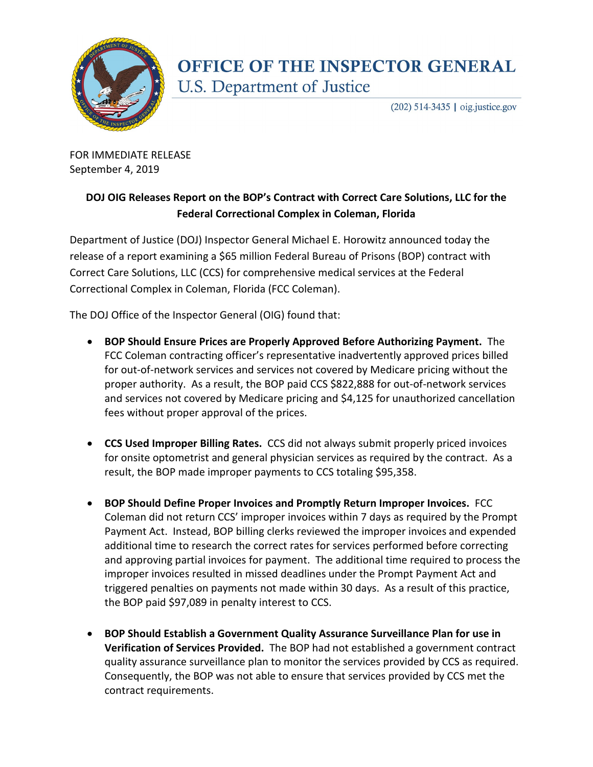

## **OFFICE OF THE INSPECTOR GENERAL U.S. Department of Justice**

 $(202)$  514-3435 | oig.justice.gov

FOR IMMEDIATE RELEASE September 4, 2019

## **DOJ OIG Releases Report on the BOP's Contract with Correct Care Solutions, LLC for the Federal Correctional Complex in Coleman, Florida**

Department of Justice (DOJ) Inspector General Michael E. Horowitz announced today the release of a report examining a \$65 million Federal Bureau of Prisons (BOP) contract with Correct Care Solutions, LLC (CCS) for comprehensive medical services at the Federal Correctional Complex in Coleman, Florida (FCC Coleman).

The DOJ Office of the Inspector General (OIG) found that:

- **BOP Should Ensure Prices are Properly Approved Before Authorizing Payment.** The FCC Coleman contracting officer's representative inadvertently approved prices billed for out-of-network services and services not covered by Medicare pricing without the proper authority. As a result, the BOP paid CCS \$822,888 for out-of-network services and services not covered by Medicare pricing and \$4,125 for unauthorized cancellation fees without proper approval of the prices.
- **CCS Used Improper Billing Rates.** CCS did not always submit properly priced invoices for onsite optometrist and general physician services as required by the contract. As a result, the BOP made improper payments to CCS totaling \$95,358.
- **BOP Should Define Proper Invoices and Promptly Return Improper Invoices.** FCC Coleman did not return CCS' improper invoices within 7 days as required by the Prompt Payment Act. Instead, BOP billing clerks reviewed the improper invoices and expended additional time to research the correct rates for services performed before correcting and approving partial invoices for payment. The additional time required to process the improper invoices resulted in missed deadlines under the Prompt Payment Act and triggered penalties on payments not made within 30 days. As a result of this practice, the BOP paid \$97,089 in penalty interest to CCS.
- **BOP Should Establish a Government Quality Assurance Surveillance Plan for use in Verification of Services Provided.** The BOP had not established a government contract quality assurance surveillance plan to monitor the services provided by CCS as required. Consequently, the BOP was not able to ensure that services provided by CCS met the contract requirements.